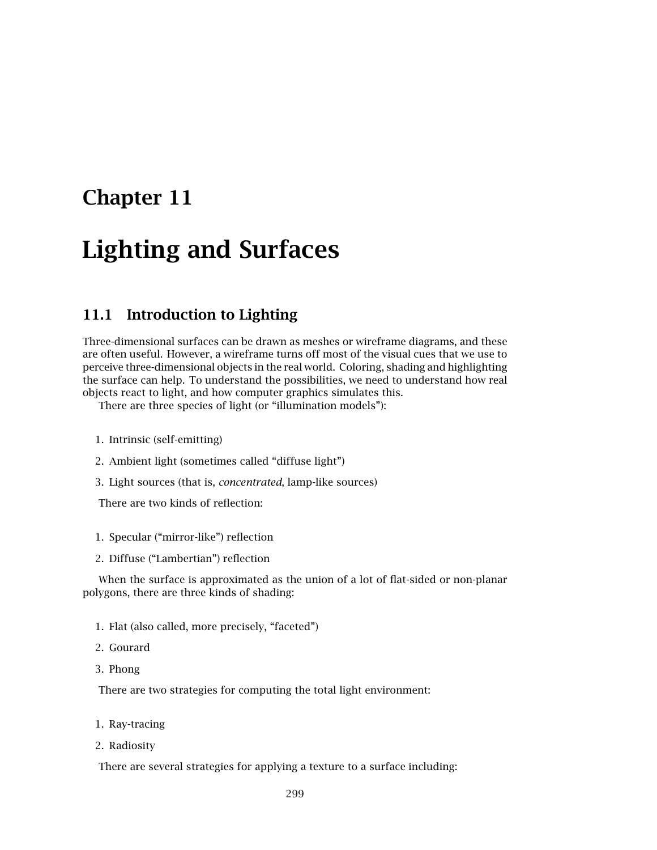## **Chapter 11**

# **Lighting and Surfaces**

### **11.1 Introduction to Lighting**

Three-dimensional surfaces can be drawn as meshes or wireframe diagrams, and these are often useful. However, a wireframe turns off most of the visual cues that we use to perceive three-dimensional objects in the real world. Coloring, shading and highlighting the surface can help. To understand the possibilities, we need to understand how real objects react to light, and how computer graphics simulates this.

There are three species of light (or "illumination models"):

- 1. Intrinsic (self-emitting)
- 2. Ambient light (sometimes called "diffuse light")
- 3. Light sources (that is, *concentrated*, lamp-like sources)

There are two kinds of reflection:

- 1. Specular ("mirror-like") reflection
- 2. Diffuse ("Lambertian") reflection

When the surface is approximated as the union of a lot of flat-sided or non-planar polygons, there are three kinds of shading:

- 1. Flat (also called, more precisely, "faceted")
- 2. Gourard
- 3. Phong

There are two strategies for computing the total light environment:

- 1. Ray-tracing
- 2. Radiosity

There are several strategies for applying a texture to a surface including: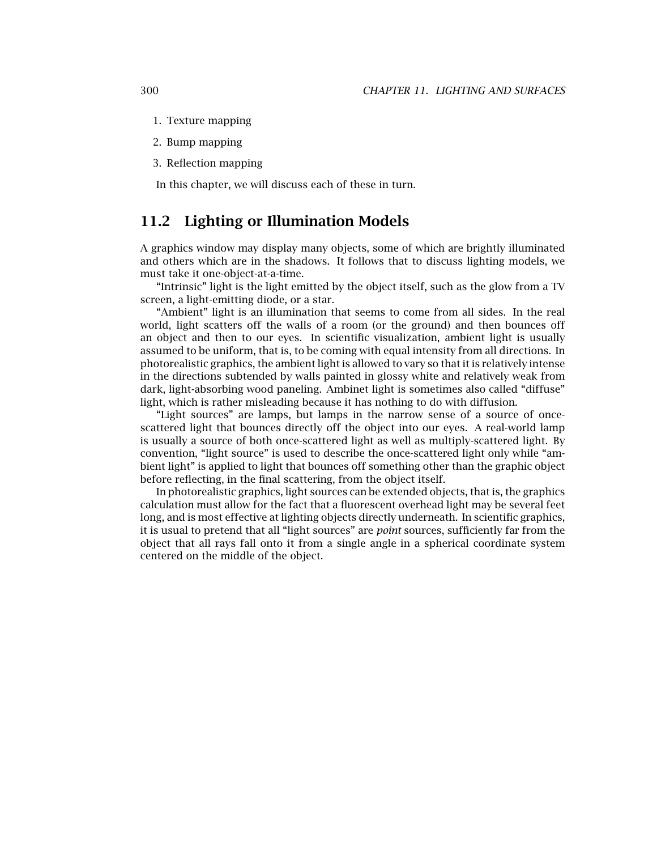- 1. Texture mapping
- 2. Bump mapping
- 3. Reflection mapping

In this chapter, we will discuss each of these in turn.

### **11.2 Lighting or Illumination Models**

A graphics window may display many objects, some of which are brightly illuminated and others which are in the shadows. It follows that to discuss lighting models, we must take it one-object-at-a-time.

"Intrinsic" light is the light emitted by the object itself, such as the glow from a TV screen, a light-emitting diode, or a star.

"Ambient" light is an illumination that seems to come from all sides. In the real world, light scatters off the walls of a room (or the ground) and then bounces off an object and then to our eyes. In scientific visualization, ambient light is usually assumed to be uniform, that is, to be coming with equal intensity from all directions. In photorealistic graphics, the ambient light is allowed to vary so that it is relatively intense in the directions subtended by walls painted in glossy white and relatively weak from dark, light-absorbing wood paneling. Ambinet light is sometimes also called "diffuse" light, which is rather misleading because it has nothing to do with diffusion.

"Light sources" are lamps, but lamps in the narrow sense of a source of oncescattered light that bounces directly off the object into our eyes. A real-world lamp is usually a source of both once-scattered light as well as multiply-scattered light. By convention, "light source" is used to describe the once-scattered light only while "ambient light" is applied to light that bounces off something other than the graphic object before reflecting, in the final scattering, from the object itself.

In photorealistic graphics, light sources can be extended objects, that is, the graphics calculation must allow for the fact that a fluorescent overhead light may be several feet long, and is most effective at lighting objects directly underneath. In scientific graphics, it is usual to pretend that all "light sources" are *point* sources, sufficiently far from the object that all rays fall onto it from a single angle in a spherical coordinate system centered on the middle of the object.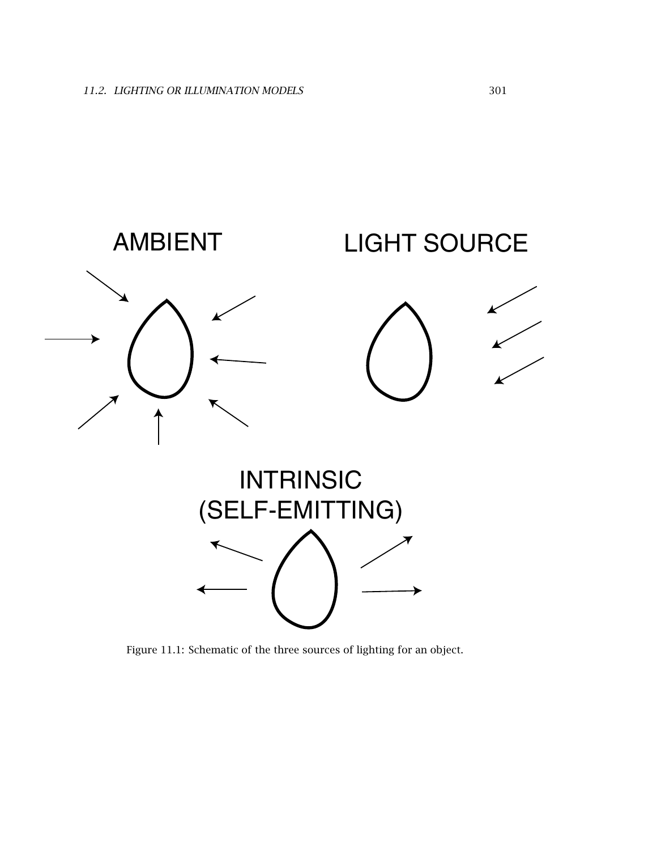

Figure 11.1: Schematic of the three sources of lighting for an object.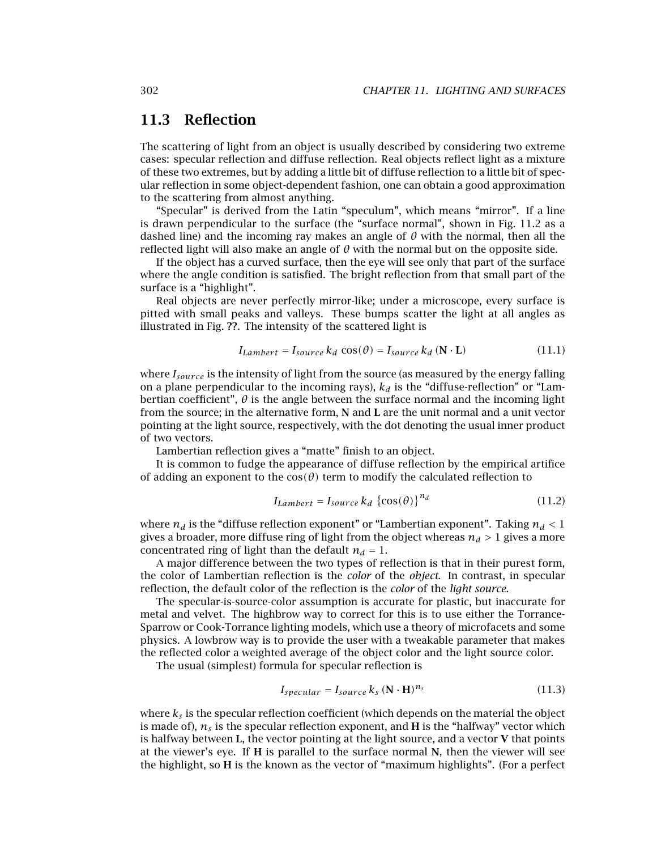### **11.3 Reflection**

The scattering of light from an object is usually described by considering two extreme cases: specular reflection and diffuse reflection. Real objects reflect light as a mixture of these two extremes, but by adding a little bit of diffuse reflection to a little bit of specular reflection in some object-dependent fashion, one can obtain a good approximation to the scattering from almost anything.

"Specular" is derived from the Latin "speculum", which means "mirror". If a line is drawn perpendicular to the surface (the "surface normal", shown in Fig. 11.2 as a dashed line) and the incoming ray makes an angle of  $\theta$  with the normal, then all the reflected light will also make an angle of  $\theta$  with the normal but on the opposite side.

If the object has a curved surface, then the eye will see only that part of the surface where the angle condition is satisfied. The bright reflection from that small part of the surface is a "highlight".

Real objects are never perfectly mirror-like; under a microscope, every surface is pitted with small peaks and valleys. These bumps scatter the light at all angles as illustrated in Fig. **??**. The intensity of the scattered light is

$$
I_{Lambert} = I_{source} k_d \cos(\theta) = I_{source} k_d \left( \mathbf{N} \cdot \mathbf{L} \right)
$$
 (11.1)

where  $I_{source}$  is the intensity of light from the source (as measured by the energy falling on a plane perpendicular to the incoming rays),  $k_d$  is the "diffuse-reflection" or "Lambertian coefficient", *θ* is the angle between the surface normal and the incoming light from the source; in the alternative form, **N** and **L** are the unit normal and a unit vector pointing at the light source, respectively, with the dot denoting the usual inner product of two vectors.

Lambertian reflection gives a "matte" finish to an object.

It is common to fudge the appearance of diffuse reflection by the empirical artifice of adding an exponent to the  $cos(\theta)$  term to modify the calculated reflection to

$$
I_{Lambert} = I_{source} k_d \left\{ \cos(\theta) \right\}^{n_d} \tag{11.2}
$$

where  $n_d$  is the "diffuse reflection exponent" or "Lambertian exponent". Taking  $n_d < 1$ gives a broader, more diffuse ring of light from the object whereas  $n_d > 1$  gives a more concentrated ring of light than the default  $n_d = 1$ .

A major difference between the two types of reflection is that in their purest form, the color of Lambertian reflection is the *color* of the *object*. In contrast, in specular reflection, the default color of the reflection is the *color* of the *light source*.

The specular-is-source-color assumption is accurate for plastic, but inaccurate for metal and velvet. The highbrow way to correct for this is to use either the Torrance-Sparrow or Cook-Torrance lighting models, which use a theory of microfacets and some physics. A lowbrow way is to provide the user with a tweakable parameter that makes the reflected color a weighted average of the object color and the light source color.

The usual (simplest) formula for specular reflection is

$$
I_{specular} = I_{source} k_s \left( \mathbf{N} \cdot \mathbf{H} \right)^{n_s}
$$
 (11.3)

where  $k_s$  is the specular reflection coefficient (which depends on the material the object is made of),  $n_s$  is the specular reflection exponent, and **H** is the "halfway" vector which is halfway between **L**, the vector pointing at the light source, and a vector **V** that points at the viewer's eye. If **H** is parallel to the surface normal **N**, then the viewer will see the highlight, so **H** is the known as the vector of "maximum highlights". (For a perfect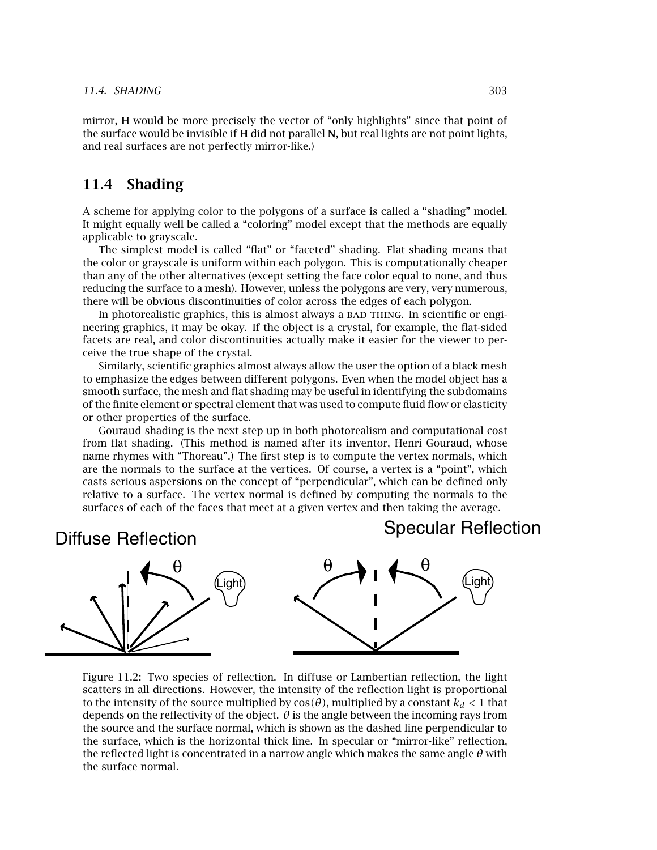mirror, **H** would be more precisely the vector of "only highlights" since that point of the surface would be invisible if **H** did not parallel **N**, but real lights are not point lights, and real surfaces are not perfectly mirror-like.)

### **11.4 Shading**

A scheme for applying color to the polygons of a surface is called a "shading" model. It might equally well be called a "coloring" model except that the methods are equally applicable to grayscale.

The simplest model is called "flat" or "faceted" shading. Flat shading means that the color or grayscale is uniform within each polygon. This is computationally cheaper than any of the other alternatives (except setting the face color equal to none, and thus reducing the surface to a mesh). However, unless the polygons are very, very numerous, there will be obvious discontinuities of color across the edges of each polygon.

In photorealistic graphics, this is almost always a BAD THING. In scientific or engineering graphics, it may be okay. If the object is a crystal, for example, the flat-sided facets are real, and color discontinuities actually make it easier for the viewer to perceive the true shape of the crystal.

Similarly, scientific graphics almost always allow the user the option of a black mesh to emphasize the edges between different polygons. Even when the model object has a smooth surface, the mesh and flat shading may be useful in identifying the subdomains of the finite element or spectral element that was used to compute fluid flow or elasticity or other properties of the surface.

Gouraud shading is the next step up in both photorealism and computational cost from flat shading. (This method is named after its inventor, Henri Gouraud, whose name rhymes with "Thoreau".) The first step is to compute the vertex normals, which are the normals to the surface at the vertices. Of course, a vertex is a "point", which casts serious aspersions on the concept of "perpendicular", which can be defined only relative to a surface. The vertex normal is defined by computing the normals to the surfaces of each of the faces that meet at a given vertex and then taking the average.

### Diffuse Reflection

### Specular Reflection



Figure 11.2: Two species of reflection. In diffuse or Lambertian reflection, the light scatters in all directions. However, the intensity of the reflection light is proportional to the intensity of the source multiplied by  $cos(\theta)$ , multiplied by a constant  $k_d < 1$  that depends on the reflectivity of the object.  $\theta$  is the angle between the incoming rays from the source and the surface normal, which is shown as the dashed line perpendicular to the surface, which is the horizontal thick line. In specular or "mirror-like" reflection, the reflected light is concentrated in a narrow angle which makes the same angle *θ* with the surface normal.